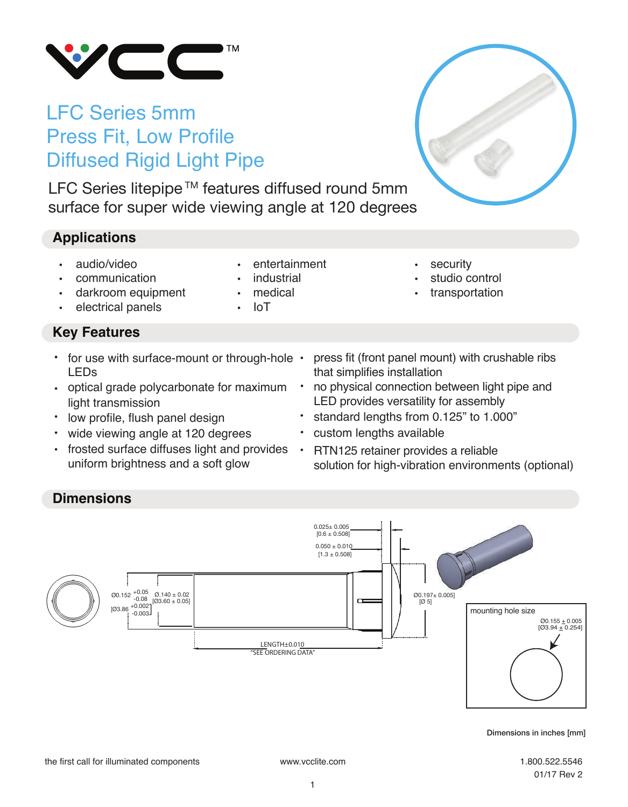

# LFC Series 5mm Press Fit, Low Profile Diffused Rigid Light Pipe

LFC Series litepipe<sup>™</sup> features diffused round 5mm surface for super wide viewing angle at 120 degrees

# **Applications**

- audio/video
- communication
- darkroom equipment
- electrical panels

# **Key Features**

- for use with surface-mount or through-hole LEDs
- optical grade polycarbonate for maximum light transmission
- low profile, flush panel design
- wide viewing angle at 120 degrees •
- frosted surface diffuses light and provides uniform brightness and a soft glow
- entertainment
- *industrial*
- medical
- IoT
- security
- studio control
- transportation
- press fit (front panel mount) with crushable ribs that simplifies installation
- no physical connection between light pipe and LED provides versatility for assembly •
- standard lengths from 0.125" to 1.000"
- custom lengths available
- RTN125 retainer provides a reliable solution for high-vibration environments (optional)

#### **Dimensions**



Dimensions in inches [mm]

1